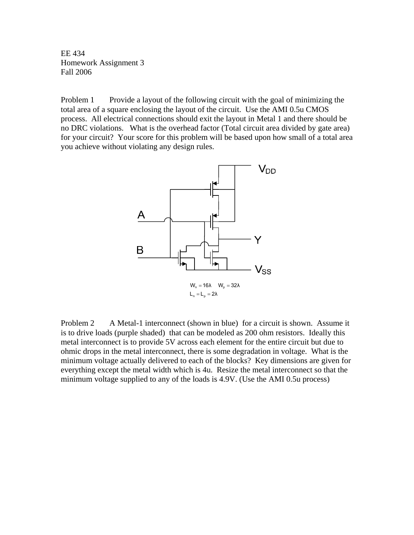EE 434 Homework Assignment 3 Fall 2006

Problem 1 Provide a layout of the following circuit with the goal of minimizing the total area of a square enclosing the layout of the circuit. Use the AMI 0.5u CMOS process. All electrical connections should exit the layout in Metal 1 and there should be no DRC violations. What is the overhead factor (Total circuit area divided by gate area) for your circuit? Your score for this problem will be based upon how small of a total area you achieve without violating any design rules.



Problem 2 A Metal-1 interconnect (shown in blue) for a circuit is shown. Assume it is to drive loads (purple shaded) that can be modeled as 200 ohm resistors. Ideally this metal interconnect is to provide 5V across each element for the entire circuit but due to ohmic drops in the metal interconnect, there is some degradation in voltage. What is the minimum voltage actually delivered to each of the blocks? Key dimensions are given for everything except the metal width which is 4u. Resize the metal interconnect so that the minimum voltage supplied to any of the loads is 4.9V. (Use the AMI 0.5u process)